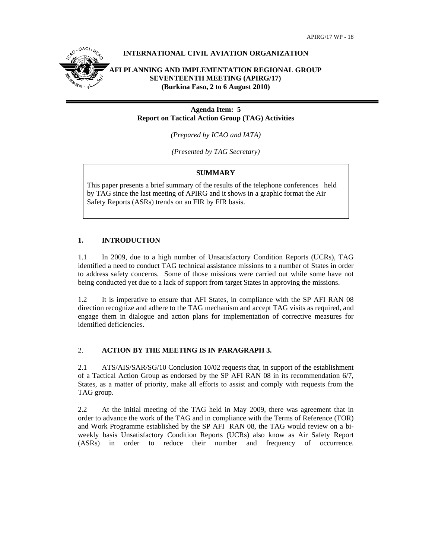

## **Agenda Item: 5 Report on Tactical Action Group (TAG) Activities**

*(Prepared by ICAO and IATA)* 

*(Presented by TAG Secretary)* 

# **SUMMARY**

This paper presents a brief summary of the results of the telephone conferences held by TAG since the last meeting of APIRG and it shows in a graphic format the Air Safety Reports (ASRs) trends on an FIR by FIR basis.

# **1. INTRODUCTION**

1.1 In 2009, due to a high number of Unsatisfactory Condition Reports (UCRs), TAG identified a need to conduct TAG technical assistance missions to a number of States in order to address safety concerns. Some of those missions were carried out while some have not being conducted yet due to a lack of support from target States in approving the missions.

1.2 It is imperative to ensure that AFI States, in compliance with the SP AFI RAN 08 direction recognize and adhere to the TAG mechanism and accept TAG visits as required, and engage them in dialogue and action plans for implementation of corrective measures for identified deficiencies.

# 2. **ACTION BY THE MEETING IS IN PARAGRAPH 3.**

2.1 ATS/AIS/SAR/SG/10 Conclusion 10/02 requests that, in support of the establishment of a Tactical Action Group as endorsed by the SP AFI RAN 08 in its recommendation 6/7, States, as a matter of priority, make all efforts to assist and comply with requests from the TAG group.

2.2 At the initial meeting of the TAG held in May 2009, there was agreement that in order to advance the work of the TAG and in compliance with the Terms of Reference (TOR) and Work Programme established by the SP AFI RAN 08, the TAG would review on a biweekly basis Unsatisfactory Condition Reports (UCRs) also know as Air Safety Report (ASRs) in order to reduce their number and frequency of occurrence.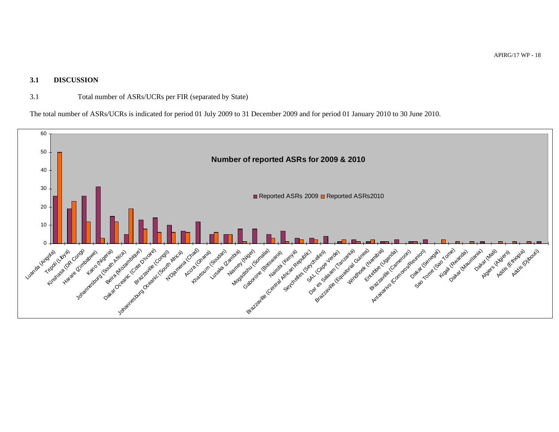### **3.1 DISCUSSION**

## 3.1 Total number of ASRs/UCRs per FIR (separated by State)

The total number of ASRs/UCRs is indicated for period 01 July 2009 to 31 December 2009 and for period 01 January 2010 to 30 June 2010.

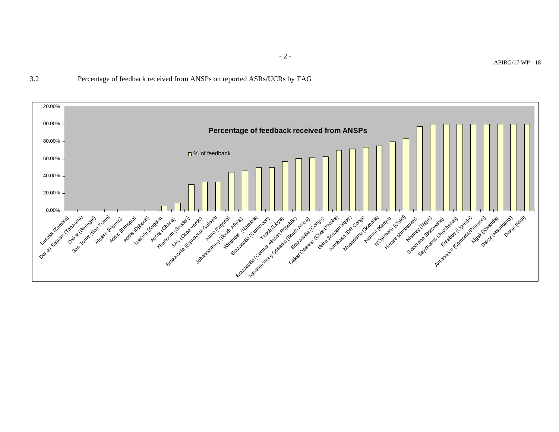3.2 Percentage of feedback received from ANSPs on reported ASRs/UCRs by TAG



- 2 -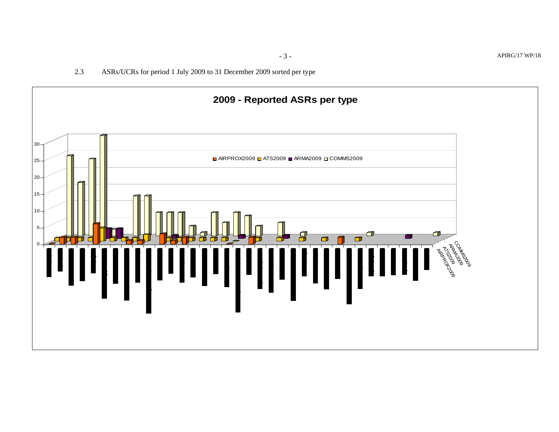2.3ASRs/UCRs for period 1 July 2009 to 31 December 2009 sorted per type

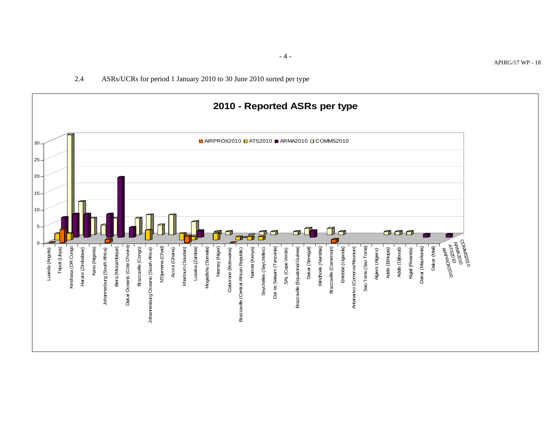

- 4 -

#### 2.4ASRs/UCRs for period 1 January 2010 to 30 June 2010 sorted per type